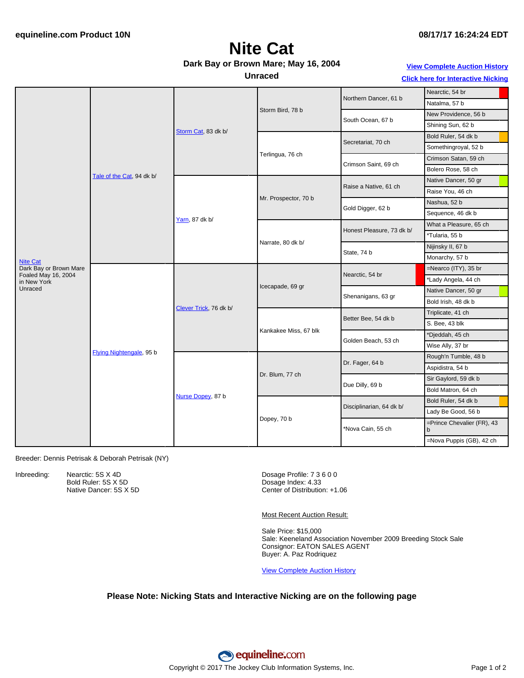# **Nite Cat**

#### **Dark Bay or Brown Mare; May 16, 2004**

#### **Unraced**

### **View [Complete](http://www.equineline.com/Free-Auction-Results.cfm?upsellReferenceNumber=&upsellHorseName=&upsellBreedType=&upsellHorseType=&upsellYOB=&lookupAuctionResults=true&tempHorseType=&tempSale=ALL&tempYear=ALL&search_type=HORSE&reference_number=7210155&horse_name=Fateful&horse_type=ALL&year=ALL&sale=ALL&consignor_id=&consignor_name=&buyer_id=&buyer_name=&price_range_low=&price_range_high=&availableConsignors=&availableBuyers=&fromFree5CrossPedigree=Y) Auction History**

**Click here for [Interactive](#page-1-0) Nicking**

| Nearctic, 54 br<br>Northern Dancer, 61 b<br>Natalma, 57 b<br>Storm Bird, 78 b<br>New Providence, 56 b<br>South Ocean, 67 b<br>Shining Sun, 62 b<br>Storm Cat, 83 dk b/<br>Bold Ruler, 54 dk b<br>Secretariat, 70 ch<br>Somethingroyal, 52 b<br>Terlingua, 76 ch<br>Crimson Satan, 59 ch<br>Crimson Saint, 69 ch<br>Bolero Rose, 58 ch<br>Tale of the Cat, 94 dk b/<br>Native Dancer, 50 gr<br>Raise a Native, 61 ch<br>Raise You, 46 ch<br>Mr. Prospector, 70 b<br>Nashua, 52 b<br>Gold Digger, 62 b<br>Sequence, 46 dk b<br>Yarn, 87 dk b/<br>What a Pleasure, 65 ch<br>Honest Pleasure, 73 dk b/<br>*Tularia, 55 b |                                                                                            |                          |                        |                       |                          |                            |
|----------------------------------------------------------------------------------------------------------------------------------------------------------------------------------------------------------------------------------------------------------------------------------------------------------------------------------------------------------------------------------------------------------------------------------------------------------------------------------------------------------------------------------------------------------------------------------------------------------------------|--------------------------------------------------------------------------------------------|--------------------------|------------------------|-----------------------|--------------------------|----------------------------|
|                                                                                                                                                                                                                                                                                                                                                                                                                                                                                                                                                                                                                      | <b>Nite Cat</b><br>Dark Bay or Brown Mare<br>Foaled May 16, 2004<br>in New York<br>Unraced |                          |                        |                       |                          |                            |
|                                                                                                                                                                                                                                                                                                                                                                                                                                                                                                                                                                                                                      |                                                                                            |                          |                        |                       |                          |                            |
|                                                                                                                                                                                                                                                                                                                                                                                                                                                                                                                                                                                                                      |                                                                                            |                          |                        |                       |                          |                            |
|                                                                                                                                                                                                                                                                                                                                                                                                                                                                                                                                                                                                                      |                                                                                            |                          |                        |                       |                          |                            |
|                                                                                                                                                                                                                                                                                                                                                                                                                                                                                                                                                                                                                      |                                                                                            |                          |                        |                       |                          |                            |
|                                                                                                                                                                                                                                                                                                                                                                                                                                                                                                                                                                                                                      |                                                                                            |                          |                        |                       |                          |                            |
|                                                                                                                                                                                                                                                                                                                                                                                                                                                                                                                                                                                                                      |                                                                                            |                          |                        |                       |                          |                            |
|                                                                                                                                                                                                                                                                                                                                                                                                                                                                                                                                                                                                                      |                                                                                            |                          |                        |                       |                          |                            |
|                                                                                                                                                                                                                                                                                                                                                                                                                                                                                                                                                                                                                      |                                                                                            |                          |                        |                       |                          |                            |
|                                                                                                                                                                                                                                                                                                                                                                                                                                                                                                                                                                                                                      |                                                                                            |                          |                        |                       |                          |                            |
|                                                                                                                                                                                                                                                                                                                                                                                                                                                                                                                                                                                                                      |                                                                                            |                          |                        |                       |                          |                            |
|                                                                                                                                                                                                                                                                                                                                                                                                                                                                                                                                                                                                                      |                                                                                            |                          |                        |                       |                          |                            |
|                                                                                                                                                                                                                                                                                                                                                                                                                                                                                                                                                                                                                      |                                                                                            |                          |                        | Narrate, 80 dk b/     |                          |                            |
|                                                                                                                                                                                                                                                                                                                                                                                                                                                                                                                                                                                                                      |                                                                                            |                          |                        |                       |                          |                            |
| Nijinsky II, 67 b                                                                                                                                                                                                                                                                                                                                                                                                                                                                                                                                                                                                    |                                                                                            |                          |                        |                       | State, 74 b              |                            |
| Monarchy, 57 b                                                                                                                                                                                                                                                                                                                                                                                                                                                                                                                                                                                                       |                                                                                            |                          |                        |                       |                          |                            |
| $=$ Nearco (ITY), 35 br                                                                                                                                                                                                                                                                                                                                                                                                                                                                                                                                                                                              |                                                                                            | Flying Nightengale, 95 b | Clever Trick, 76 dk b/ | Icecapade, 69 gr      | Nearctic, 54 br          |                            |
| *Lady Angela, 44 ch                                                                                                                                                                                                                                                                                                                                                                                                                                                                                                                                                                                                  |                                                                                            |                          |                        |                       |                          |                            |
| Native Dancer, 50 gr                                                                                                                                                                                                                                                                                                                                                                                                                                                                                                                                                                                                 |                                                                                            |                          |                        |                       | Shenanigans, 63 gr       |                            |
| Bold Irish, 48 dk b                                                                                                                                                                                                                                                                                                                                                                                                                                                                                                                                                                                                  |                                                                                            |                          |                        |                       |                          |                            |
| Triplicate, 41 ch                                                                                                                                                                                                                                                                                                                                                                                                                                                                                                                                                                                                    |                                                                                            |                          |                        | Kankakee Miss, 67 blk | Better Bee, 54 dk b      |                            |
| S. Bee, 43 blk                                                                                                                                                                                                                                                                                                                                                                                                                                                                                                                                                                                                       |                                                                                            |                          |                        |                       |                          |                            |
| *Djeddah, 45 ch                                                                                                                                                                                                                                                                                                                                                                                                                                                                                                                                                                                                      |                                                                                            |                          |                        |                       | Golden Beach, 53 ch      |                            |
| Wise Ally, 37 br                                                                                                                                                                                                                                                                                                                                                                                                                                                                                                                                                                                                     |                                                                                            |                          |                        |                       |                          |                            |
| Rough'n Tumble, 48 b                                                                                                                                                                                                                                                                                                                                                                                                                                                                                                                                                                                                 |                                                                                            |                          | Nurse Dopey, 87 b      | Dr. Blum, 77 ch       | Dr. Fager, 64 b          |                            |
| Aspidistra, 54 b                                                                                                                                                                                                                                                                                                                                                                                                                                                                                                                                                                                                     |                                                                                            |                          |                        |                       |                          |                            |
| Sir Gaylord, 59 dk b                                                                                                                                                                                                                                                                                                                                                                                                                                                                                                                                                                                                 |                                                                                            |                          |                        |                       | Due Dilly, 69 b          |                            |
| Bold Matron, 64 ch                                                                                                                                                                                                                                                                                                                                                                                                                                                                                                                                                                                                   |                                                                                            |                          |                        |                       |                          |                            |
| Bold Ruler, 54 dk b                                                                                                                                                                                                                                                                                                                                                                                                                                                                                                                                                                                                  |                                                                                            |                          |                        | Dopey, 70 b           | Disciplinarian, 64 dk b/ |                            |
| Lady Be Good, 56 b                                                                                                                                                                                                                                                                                                                                                                                                                                                                                                                                                                                                   |                                                                                            |                          |                        |                       |                          |                            |
| *Nova Cain, 55 ch<br>h                                                                                                                                                                                                                                                                                                                                                                                                                                                                                                                                                                                               |                                                                                            |                          |                        |                       |                          | =Prince Chevalier (FR), 43 |
| =Nova Puppis (GB), 42 ch                                                                                                                                                                                                                                                                                                                                                                                                                                                                                                                                                                                             |                                                                                            |                          |                        |                       |                          |                            |

#### Breeder: Dennis Petrisak & Deborah Petrisak (NY)

Inbreeding: Nearctic: 5S X 4D

Bold Ruler: 5S X 5D Native Dancer: 5S X 5D

Dosage Profile: 7 3 6 0 0 Dosage Index: 4.33 Center of Distribution: +1.06

Most Recent Auction Result:

Sale Price: \$15,000 Sale: Keeneland Association November 2009 Breeding Stock Sale Consignor: EATON SALES AGENT Buyer: A. Paz Rodriquez

View [Complete](http://www.equineline.com/Free-Auction-Results.cfm?upsellReferenceNumber=&upsellHorseName=&upsellBreedType=&upsellHorseType=&upsellYOB=&lookupAuctionResults=true&tempHorseType=&tempSale=ALL&tempYear=ALL&search_type=HORSE&reference_number=7210155&horse_name=Fateful&horse_type=ALL&year=ALL&sale=ALL&consignor_id=&consignor_name=&buyer_id=&buyer_name=&price_range_low=&price_range_high=&availableConsignors=&availableBuyers=&fromFree5CrossPedigree=Y) Auction History

#### **Please Note: Nicking Stats and Interactive Nicking are on the following page**

equineline.com Copyright © 2017 The Jockey Club Information Systems, Inc. The Contract of 2 Page 1 of 2